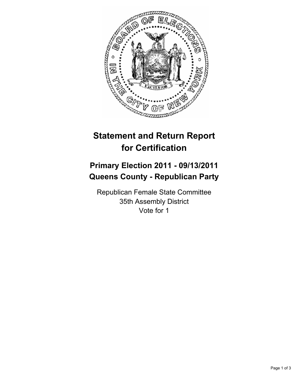

# **Statement and Return Report for Certification**

## **Primary Election 2011 - 09/13/2011 Queens County - Republican Party**

Republican Female State Committee 35th Assembly District Vote for 1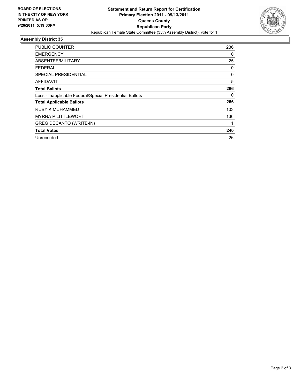

### **Assembly District 35**

| <b>PUBLIC COUNTER</b>                                    | 236 |
|----------------------------------------------------------|-----|
| <b>EMERGENCY</b>                                         | 0   |
| ABSENTEE/MILITARY                                        | 25  |
| FEDERAL                                                  | 0   |
| SPECIAL PRESIDENTIAL                                     | 0   |
| AFFIDAVIT                                                | 5   |
| <b>Total Ballots</b>                                     | 266 |
| Less - Inapplicable Federal/Special Presidential Ballots | 0   |
| <b>Total Applicable Ballots</b>                          | 266 |
| RUBY K MUHAMMED                                          | 103 |
| <b>MYRNA P LITTLEWORT</b>                                | 136 |
| <b>GREG DECANTO (WRITE-IN)</b>                           |     |
| <b>Total Votes</b>                                       | 240 |
| Unrecorded                                               | 26  |